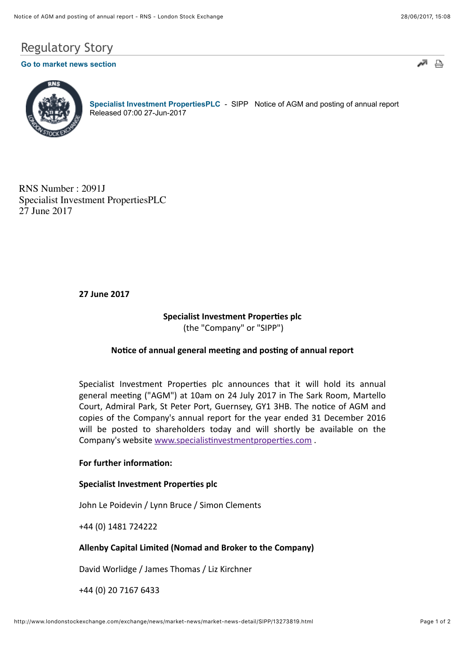# Regulatory Story

# **[Go to market news section](javascript:%20sendto()**





**[Specialist Investment PropertiesPLC](http://www.londonstockexchange.com/exchange/prices-and-markets/stocks/summary/company-summary-via-tidm.html?tidm=SIPP)** - SIPP Notice of AGM and posting of annual report Released 07:00 27-Jun-2017

RNS Number : 2091J Specialist Investment PropertiesPLC 27 June 2017

### **27 June 2017**

## **Specialist Investment Properties plc** (the "Company" or "SIPP")

#### Notice of annual general meeting and posting of annual report

Specialist Investment Properties plc announces that it will hold its annual general meeting ("AGM") at 10am on 24 July 2017 in The Sark Room, Martello Court, Admiral Park, St Peter Port, Guernsey, GY1 3HB. The notice of AGM and copies of the Company's annual report for the year ended 31 December 2016 will be posted to shareholders today and will shortly be available on the Company's website www.specialistinvestmentproperties.com .

#### **For further information:**

#### **Specialist Investment Properties plc**

John Le Poidevin / Lynn Bruce / Simon Clements

+44 (0) 1481 724222

#### Allenby Capital Limited (Nomad and Broker to the Company)

David Worlidge / James Thomas / Liz Kirchner

+44 (0) 20 7167 6433